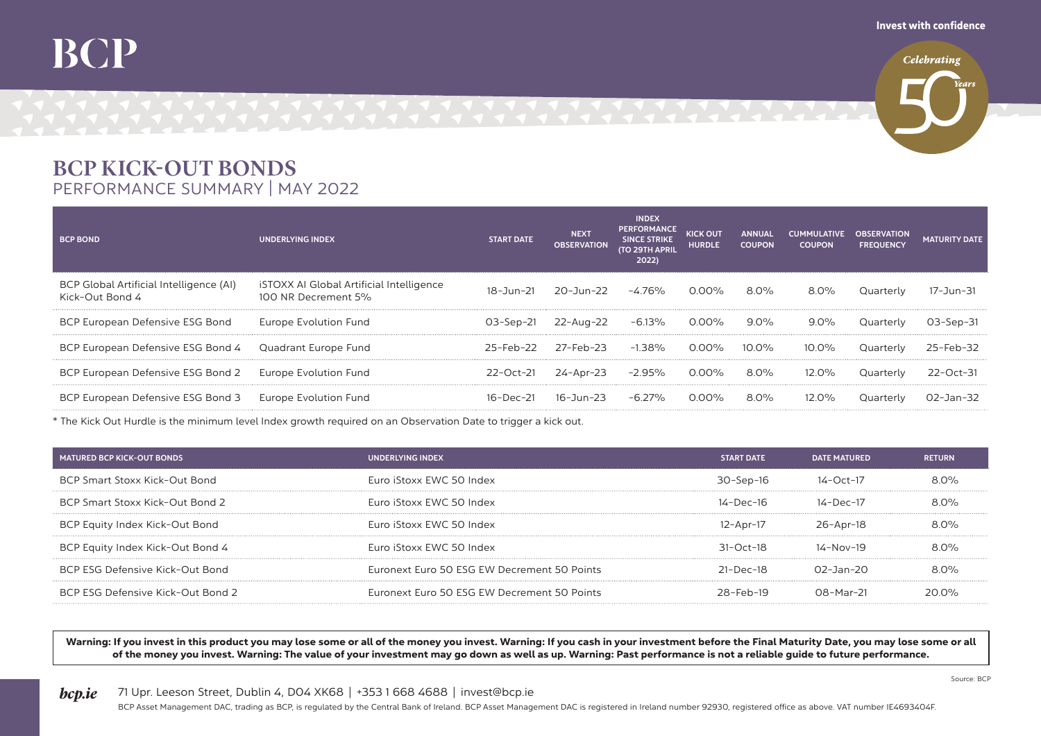## BCP KICK-OUT BONDS PERFORMANCE SUMMARY | MAY 2022

| <b>BCP BOND</b>                                            | <b>UNDERLYING INDEX</b>                                         | <b>START DATE</b> | <b>NEXT</b><br><b>OBSERVATION</b> | <b>INDEX</b><br><b>PERFORMANCE</b><br><b>SINCE STRIKE</b><br><b>(TO 29TH APRIL</b><br>2022) | <b>KICK OUT</b><br><b>HURDLE</b> | <b>ANNUAL</b><br><b>COUPON</b> | <b>CUMMULATIVE</b><br><b>COUPON</b> | <b>OBSERVATION</b><br><b>FREQUENCY</b> | <b>MATURITY DATE</b> |
|------------------------------------------------------------|-----------------------------------------------------------------|-------------------|-----------------------------------|---------------------------------------------------------------------------------------------|----------------------------------|--------------------------------|-------------------------------------|----------------------------------------|----------------------|
| BCP Global Artificial Intelligence (AI)<br>Kick-Out Bond 4 | iSTOXX AI Global Artificial Intelligence<br>100 NR Decrement 5% | 18-Jun-21         | 20-Jun-22                         | -4.76%                                                                                      | 0.00%                            | 8.0%                           | 8.0%                                | Quarterly                              | 17-Jun-31            |
| BCP European Defensive ESG Bond                            | Europe Evolution Fund                                           | 03-Sep-21         | 22-Aua-22                         | -6.13%                                                                                      | 0.00%                            | $9.0\%$                        | $9.0\%$                             | Quarterly                              | U3-Sep-31            |
| BCP European Defensive ESG Bond 4 Quadrant Europe Fund     |                                                                 | 25-Feb-22         | 27-Feb-23                         | $-1.38\%$                                                                                   | 0.00%                            | 10.0%                          | $10.0\%$                            | Quarterly                              | 25-Feb-32            |
| BCP European Defensive ESG Bond 2 Europe Evolution Fund    |                                                                 |                   | 22-Oct-21 24-Apr-23 -2.95% 0.00%  |                                                                                             |                                  | 8.0%                           | 12.0%                               | Quarterly                              | $22 - Oct - 31$      |
| BCP European Defensive ESG Bond 3 Europe Evolution Fund    |                                                                 | 16-Dec-21         | 16-Jun-23                         | $-6.27\%$                                                                                   | 0.00%                            | 8.0%                           | $12.0\%$                            | Quarterly                              | O2-Jan-32            |

\* The Kick Out Hurdle is the minimum level Index growth required on an Observation Date to trigger a kick out.

| MATURED BCP KICK-OUT BONDS        | UNDERLYING INDEX                            | START DATF          | <b>DATE MATURED</b> | <b>RETURN</b> |
|-----------------------------------|---------------------------------------------|---------------------|---------------------|---------------|
| BCP Smart Stoxx Kick-Out Bond     | Euro iStoxx EWC 50 Index                    | $30 -$ Sep $-16$    | 14-Oct-17           | $8.0\%$       |
| BCP Smart Stoxx Kick-Out Bond 2   | Euro iStoxx EWC 50 Index                    | $14-Der-16$         | 14-Dec-17           | $8.0\%$       |
| BCP Equity Index Kick-Out Bond    | Euro iStoxx EWC 50 Index                    | 12-Apr-17           | 26-Apr-18           | 80%           |
| BCP Equity Index Kick-Out Bond 4  | Euro iStoxx EWC 50 Index                    | $31 - \Omega$ ct-18 | $14 - N_0 = 19$     | 8 O%          |
| BCP ESG Defensive Kick-Out Bond   | Euronext Euro 50 ESG EW Decrement 50 Points | $21-Der-18$         | $O2 - Jan - 2O$     | $80\%$        |
| BCP ESG Defensive Kick-Out Bond 2 | Euronext Euro 50 ESG EW Decrement 50 Points | $28-Feh-19$         | $08-Mar-21$         | 20.0%         |
|                                   |                                             |                     |                     |               |

Warning: If you invest in this product you may lose some or all of the money you invest. Warning: If you cash in your investment before the Final Maturity Date, you may lose some or all of the money you invest. Warning: The value of your investment may go down as well as up. Warning: Past performance is not a reliable guide to future performance.

**bcp.ie** 71 Upr. Leeson Street, Dublin 4, DO4 XK68 | +353 1 668 4688 | invest@bcp.ie

Source: BCP

BCP Asset Management DAC, trading as BCP, is regulated by the Central Bank of Ireland. BCP Asset Management DAC is registered in Ireland number 92930, registered office as above. VAT number IE4693404F.